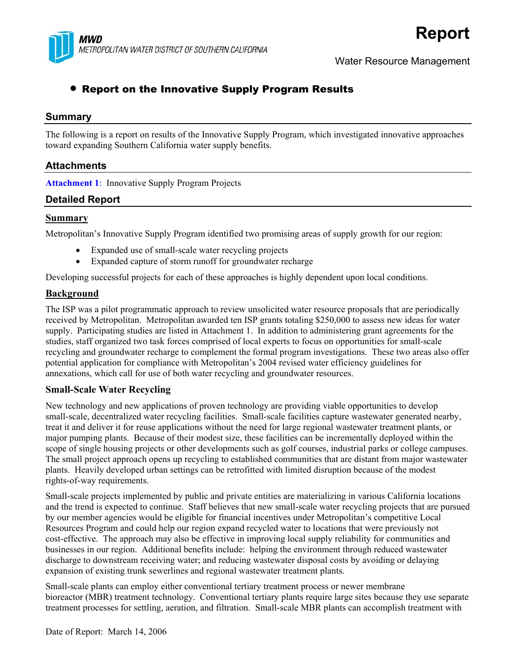

Water Resource Management

# • Report on the Innovative Supply Program Results

## **Summary**

The following is a report on results of the Innovative Supply Program, which investigated innovative approaches toward expanding Southern California water supply benefits.

# **Attachments**

**Attachment 1**: Innovative Supply Program Projects

# **Detailed Report**

#### **Summary**

Metropolitan's Innovative Supply Program identified two promising areas of supply growth for our region:

- Expanded use of small-scale water recycling projects
- Expanded capture of storm runoff for groundwater recharge

Developing successful projects for each of these approaches is highly dependent upon local conditions.

#### **Background**

The ISP was a pilot programmatic approach to review unsolicited water resource proposals that are periodically received by Metropolitan. Metropolitan awarded ten ISP grants totaling \$250,000 to assess new ideas for water supply. Participating studies are listed in Attachment 1. In addition to administering grant agreements for the studies, staff organized two task forces comprised of local experts to focus on opportunities for small-scale recycling and groundwater recharge to complement the formal program investigations. These two areas also offer potential application for compliance with Metropolitan's 2004 revised water efficiency guidelines for annexations, which call for use of both water recycling and groundwater resources.

#### **Small-Scale Water Recycling**

New technology and new applications of proven technology are providing viable opportunities to develop small-scale, decentralized water recycling facilities. Small-scale facilities capture wastewater generated nearby, treat it and deliver it for reuse applications without the need for large regional wastewater treatment plants, or major pumping plants. Because of their modest size, these facilities can be incrementally deployed within the scope of single housing projects or other developments such as golf courses, industrial parks or college campuses. The small project approach opens up recycling to established communities that are distant from major wastewater plants. Heavily developed urban settings can be retrofitted with limited disruption because of the modest rights-of-way requirements.

Small-scale projects implemented by public and private entities are materializing in various California locations and the trend is expected to continue. Staff believes that new small-scale water recycling projects that are pursued by our member agencies would be eligible for financial incentives under Metropolitan's competitive Local Resources Program and could help our region expand recycled water to locations that were previously not cost-effective. The approach may also be effective in improving local supply reliability for communities and businesses in our region. Additional benefits include: helping the environment through reduced wastewater discharge to downstream receiving water; and reducing wastewater disposal costs by avoiding or delaying expansion of existing trunk sewerlines and regional wastewater treatment plants.

Small-scale plants can employ either conventional tertiary treatment process or newer membrane bioreactor (MBR) treatment technology. Conventional tertiary plants require large sites because they use separate treatment processes for settling, aeration, and filtration. Small-scale MBR plants can accomplish treatment with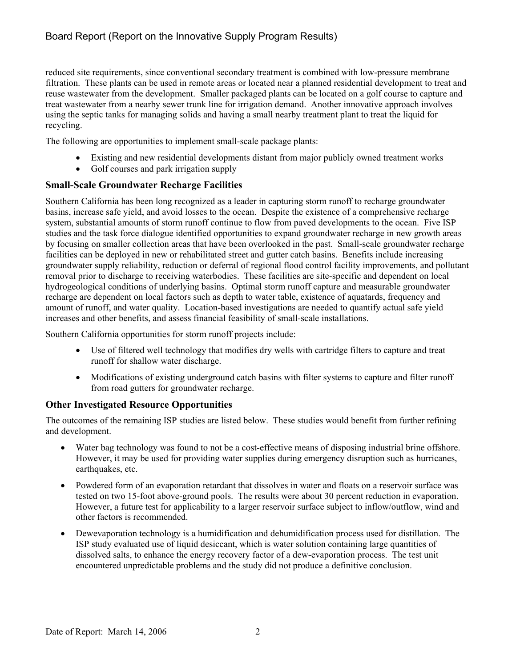# Board Report (Report on the Innovative Supply Program Results)

reduced site requirements, since conventional secondary treatment is combined with low-pressure membrane filtration. These plants can be used in remote areas or located near a planned residential development to treat and reuse wastewater from the development. Smaller packaged plants can be located on a golf course to capture and treat wastewater from a nearby sewer trunk line for irrigation demand. Another innovative approach involves using the septic tanks for managing solids and having a small nearby treatment plant to treat the liquid for recycling.

The following are opportunities to implement small-scale package plants:

- Existing and new residential developments distant from major publicly owned treatment works
- Golf courses and park irrigation supply

## **Small-Scale Groundwater Recharge Facilities**

Southern California has been long recognized as a leader in capturing storm runoff to recharge groundwater basins, increase safe yield, and avoid losses to the ocean. Despite the existence of a comprehensive recharge system, substantial amounts of storm runoff continue to flow from paved developments to the ocean. Five ISP studies and the task force dialogue identified opportunities to expand groundwater recharge in new growth areas by focusing on smaller collection areas that have been overlooked in the past. Small-scale groundwater recharge facilities can be deployed in new or rehabilitated street and gutter catch basins. Benefits include increasing groundwater supply reliability, reduction or deferral of regional flood control facility improvements, and pollutant removal prior to discharge to receiving waterbodies. These facilities are site-specific and dependent on local hydrogeological conditions of underlying basins. Optimal storm runoff capture and measurable groundwater recharge are dependent on local factors such as depth to water table, existence of aquatards, frequency and amount of runoff, and water quality. Location-based investigations are needed to quantify actual safe yield increases and other benefits, and assess financial feasibility of small-scale installations.

Southern California opportunities for storm runoff projects include:

- Use of filtered well technology that modifies dry wells with cartridge filters to capture and treat runoff for shallow water discharge.
- Modifications of existing underground catch basins with filter systems to capture and filter runoff from road gutters for groundwater recharge.

# **Other Investigated Resource Opportunities**

The outcomes of the remaining ISP studies are listed below. These studies would benefit from further refining and development.

- Water bag technology was found to not be a cost-effective means of disposing industrial brine offshore. However, it may be used for providing water supplies during emergency disruption such as hurricanes, earthquakes, etc.
- Powdered form of an evaporation retardant that dissolves in water and floats on a reservoir surface was tested on two 15-foot above-ground pools. The results were about 30 percent reduction in evaporation. However, a future test for applicability to a larger reservoir surface subject to inflow/outflow, wind and other factors is recommended.
- Dewevaporation technology is a humidification and dehumidification process used for distillation. The ISP study evaluated use of liquid desiccant, which is water solution containing large quantities of dissolved salts, to enhance the energy recovery factor of a dew-evaporation process. The test unit encountered unpredictable problems and the study did not produce a definitive conclusion.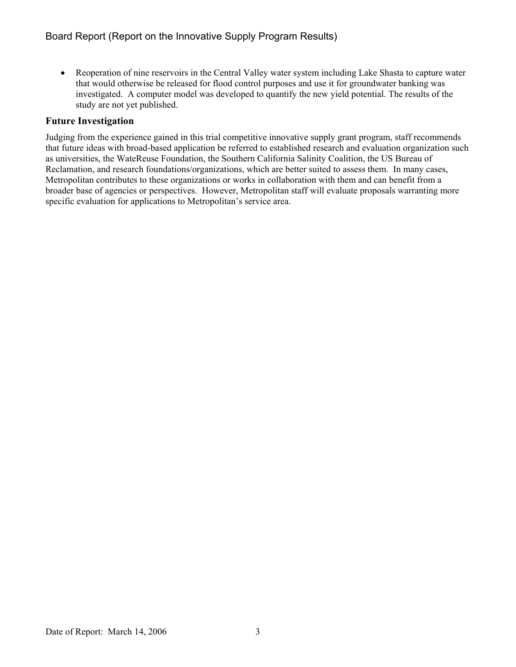• Reoperation of nine reservoirs in the Central Valley water system including Lake Shasta to capture water that would otherwise be released for flood control purposes and use it for groundwater banking was investigated. A computer model was developed to quantify the new yield potential. The results of the study are not yet published.

## **Future Investigation**

Judging from the experience gained in this trial competitive innovative supply grant program, staff recommends that future ideas with broad-based application be referred to established research and evaluation organization such as universities, the WateReuse Foundation, the Southern California Salinity Coalition, the US Bureau of Reclamation, and research foundations/organizations, which are better suited to assess them. In many cases, Metropolitan contributes to these organizations or works in collaboration with them and can benefit from a broader base of agencies or perspectives. However, Metropolitan staff will evaluate proposals warranting more specific evaluation for applications to Metropolitan's service area.